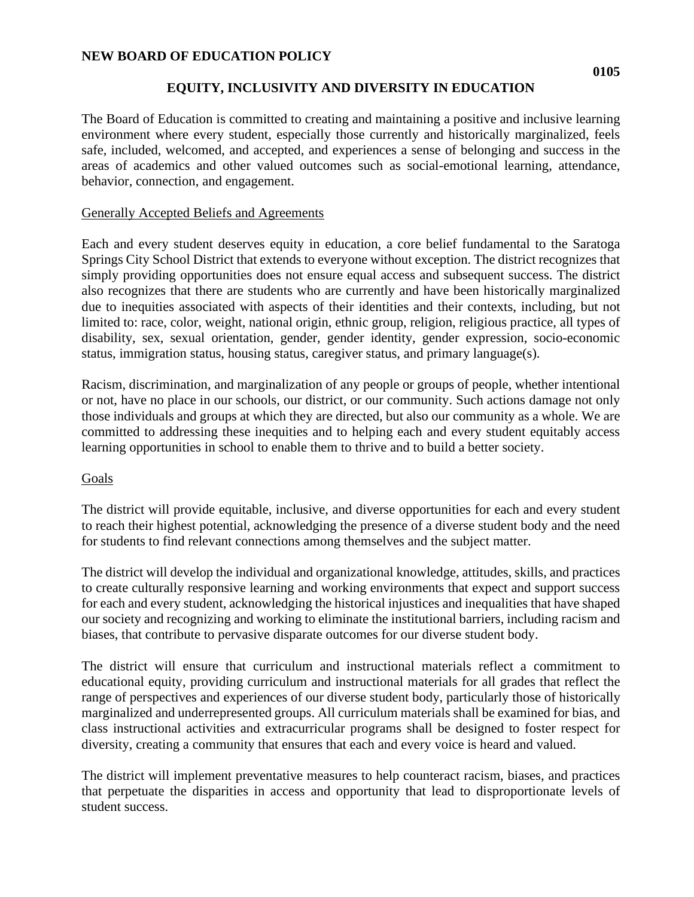### **NEW BOARD OF EDUCATION POLICY**

# **EQUITY, INCLUSIVITY AND DIVERSITY IN EDUCATION**

The Board of Education is committed to creating and maintaining a positive and inclusive learning environment where every student, especially those currently and historically marginalized, feels safe, included, welcomed, and accepted, and experiences a sense of belonging and success in the areas of academics and other valued outcomes such as social-emotional learning, attendance, behavior, connection, and engagement.

### Generally Accepted Beliefs and Agreements

Each and every student deserves equity in education, a core belief fundamental to the Saratoga Springs City School District that extends to everyone without exception. The district recognizes that simply providing opportunities does not ensure equal access and subsequent success. The district also recognizes that there are students who are currently and have been historically marginalized due to inequities associated with aspects of their identities and their contexts, including, but not limited to: race, color, weight, national origin, ethnic group, religion, religious practice, all types of disability, sex, sexual orientation, gender, gender identity, gender expression, socio-economic status, immigration status, housing status, caregiver status, and primary language(s).

Racism, discrimination, and marginalization of any people or groups of people, whether intentional or not, have no place in our schools, our district, or our community. Such actions damage not only those individuals and groups at which they are directed, but also our community as a whole. We are committed to addressing these inequities and to helping each and every student equitably access learning opportunities in school to enable them to thrive and to build a better society.

#### Goals

The district will provide equitable, inclusive, and diverse opportunities for each and every student to reach their highest potential, acknowledging the presence of a diverse student body and the need for students to find relevant connections among themselves and the subject matter.

The district will develop the individual and organizational knowledge, attitudes, skills, and practices to create culturally responsive learning and working environments that expect and support success for each and every student, acknowledging the historical injustices and inequalities that have shaped our society and recognizing and working to eliminate the institutional barriers, including racism and biases, that contribute to pervasive disparate outcomes for our diverse student body.

The district will ensure that curriculum and instructional materials reflect a commitment to educational equity, providing curriculum and instructional materials for all grades that reflect the range of perspectives and experiences of our diverse student body, particularly those of historically marginalized and underrepresented groups. All curriculum materials shall be examined for bias, and class instructional activities and extracurricular programs shall be designed to foster respect for diversity, creating a community that ensures that each and every voice is heard and valued.

The district will implement preventative measures to help counteract racism, biases, and practices that perpetuate the disparities in access and opportunity that lead to disproportionate levels of student success.

**0105**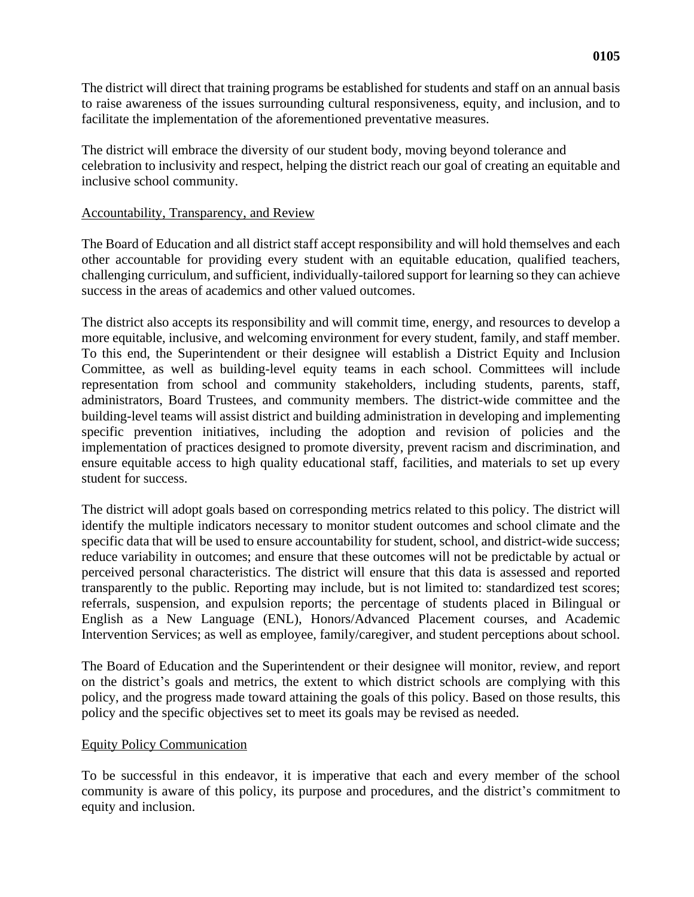The district will direct that training programs be established for students and staff on an annual basis to raise awareness of the issues surrounding cultural responsiveness, equity, and inclusion, and to facilitate the implementation of the aforementioned preventative measures.

The district will embrace the diversity of our student body, moving beyond tolerance and celebration to inclusivity and respect, helping the district reach our goal of creating an equitable and inclusive school community.

#### Accountability, Transparency, and Review

The Board of Education and all district staff accept responsibility and will hold themselves and each other accountable for providing every student with an equitable education, qualified teachers, challenging curriculum, and sufficient, individually-tailored support for learning so they can achieve success in the areas of academics and other valued outcomes.

The district also accepts its responsibility and will commit time, energy, and resources to develop a more equitable, inclusive, and welcoming environment for every student, family, and staff member. To this end, the Superintendent or their designee will establish a District Equity and Inclusion Committee, as well as building-level equity teams in each school. Committees will include representation from school and community stakeholders, including students, parents, staff, administrators, Board Trustees, and community members. The district-wide committee and the building-level teams will assist district and building administration in developing and implementing specific prevention initiatives, including the adoption and revision of policies and the implementation of practices designed to promote diversity, prevent racism and discrimination, and ensure equitable access to high quality educational staff, facilities, and materials to set up every student for success.

The district will adopt goals based on corresponding metrics related to this policy. The district will identify the multiple indicators necessary to monitor student outcomes and school climate and the specific data that will be used to ensure accountability for student, school, and district-wide success; reduce variability in outcomes; and ensure that these outcomes will not be predictable by actual or perceived personal characteristics. The district will ensure that this data is assessed and reported transparently to the public. Reporting may include, but is not limited to: standardized test scores; referrals, suspension, and expulsion reports; the percentage of students placed in Bilingual or English as a New Language (ENL), Honors/Advanced Placement courses, and Academic Intervention Services; as well as employee, family/caregiver, and student perceptions about school.

The Board of Education and the Superintendent or their designee will monitor, review, and report on the district's goals and metrics, the extent to which district schools are complying with this policy, and the progress made toward attaining the goals of this policy. Based on those results, this policy and the specific objectives set to meet its goals may be revised as needed.

# Equity Policy Communication

To be successful in this endeavor, it is imperative that each and every member of the school community is aware of this policy, its purpose and procedures, and the district's commitment to equity and inclusion.